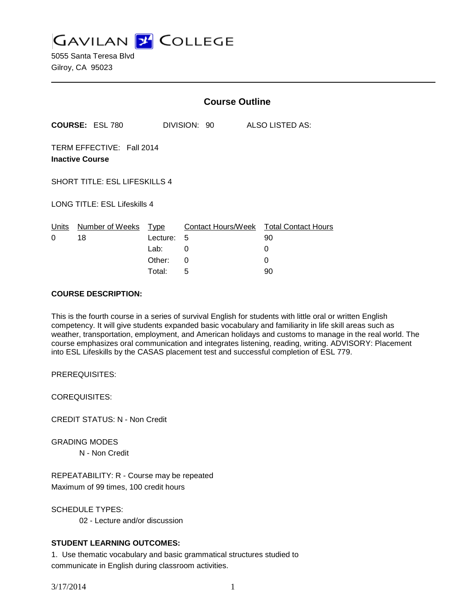**GAVILAN J COLLEGE** 

5055 Santa Teresa Blvd Gilroy, CA 95023

|                        |                                                     | <b>Course Outline</b>              |                                          |                 |                            |
|------------------------|-----------------------------------------------------|------------------------------------|------------------------------------------|-----------------|----------------------------|
| <b>COURSE: ESL 780</b> |                                                     |                                    | DIVISION: 90                             | ALSO LISTED AS: |                            |
|                        | TERM EFFECTIVE: Fall 2014<br><b>Inactive Course</b> |                                    |                                          |                 |                            |
|                        | <b>SHORT TITLE: ESL LIFESKILLS 4</b>                |                                    |                                          |                 |                            |
|                        | LONG TITLE: ESL Lifeskills 4                        |                                    |                                          |                 |                            |
| Units<br>0             | Number of Weeks<br>18                               | Type<br>Lecture:<br>Lab:<br>Other: | <b>Contact Hours/Week</b><br>5<br>0<br>0 | 90<br>0<br>0    | <b>Total Contact Hours</b> |
|                        |                                                     | Total:                             | 5                                        | 90              |                            |

### **COURSE DESCRIPTION:**

This is the fourth course in a series of survival English for students with little oral or written English competency. It will give students expanded basic vocabulary and familiarity in life skill areas such as weather, transportation, employment, and American holidays and customs to manage in the real world. The course emphasizes oral communication and integrates listening, reading, writing. ADVISORY: Placement into ESL Lifeskills by the CASAS placement test and successful completion of ESL 779.

PREREQUISITES:

COREQUISITES:

CREDIT STATUS: N - Non Credit

GRADING MODES N - Non Credit

REPEATABILITY: R - Course may be repeated Maximum of 99 times, 100 credit hours

SCHEDULE TYPES: 02 - Lecture and/or discussion

# **STUDENT LEARNING OUTCOMES:**

1. Use thematic vocabulary and basic grammatical structures studied to communicate in English during classroom activities.

3/17/2014 1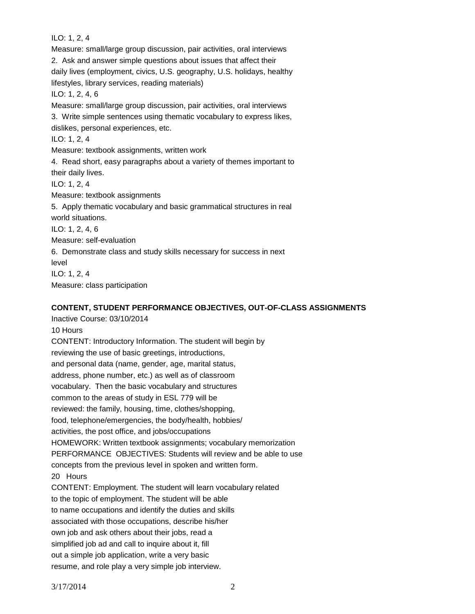ILO: 1, 2, 4 Measure: small/large group discussion, pair activities, oral interviews 2. Ask and answer simple questions about issues that affect their daily lives (employment, civics, U.S. geography, U.S. holidays, healthy lifestyles, library services, reading materials) ILO: 1, 2, 4, 6 Measure: small/large group discussion, pair activities, oral interviews 3. Write simple sentences using thematic vocabulary to express likes, dislikes, personal experiences, etc. ILO: 1, 2, 4 Measure: textbook assignments, written work 4. Read short, easy paragraphs about a variety of themes important to their daily lives. ILO: 1, 2, 4 Measure: textbook assignments 5. Apply thematic vocabulary and basic grammatical structures in real world situations. ILO: 1, 2, 4, 6 Measure: self-evaluation 6. Demonstrate class and study skills necessary for success in next level ILO: 1, 2, 4 Measure: class participation

## **CONTENT, STUDENT PERFORMANCE OBJECTIVES, OUT-OF-CLASS ASSIGNMENTS**

Inactive Course: 03/10/2014 10 Hours CONTENT: Introductory Information. The student will begin by reviewing the use of basic greetings, introductions, and personal data (name, gender, age, marital status, address, phone number, etc.) as well as of classroom vocabulary. Then the basic vocabulary and structures common to the areas of study in ESL 779 will be reviewed: the family, housing, time, clothes/shopping, food, telephone/emergencies, the body/health, hobbies/ activities, the post office, and jobs/occupations HOMEWORK: Written textbook assignments; vocabulary memorization PERFORMANCE OBJECTIVES: Students will review and be able to use concepts from the previous level in spoken and written form. 20 Hours CONTENT: Employment. The student will learn vocabulary related to the topic of employment. The student will be able to name occupations and identify the duties and skills associated with those occupations, describe his/her own job and ask others about their jobs, read a simplified job ad and call to inquire about it, fill out a simple job application, write a very basic resume, and role play a very simple job interview.

3/17/2014 2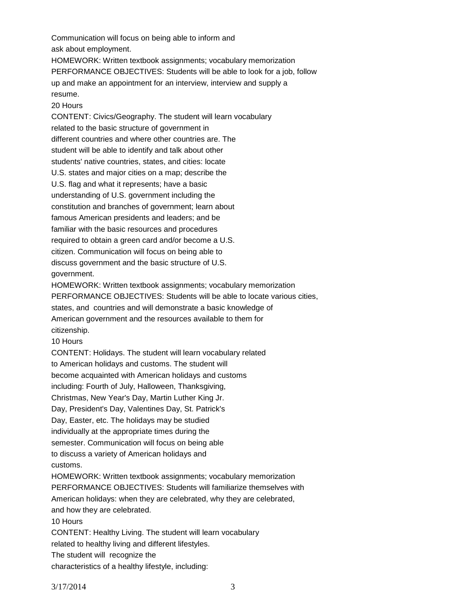Communication will focus on being able to inform and ask about employment.

HOMEWORK: Written textbook assignments; vocabulary memorization PERFORMANCE OBJECTIVES: Students will be able to look for a job, follow up and make an appointment for an interview, interview and supply a resume.

20 Hours

CONTENT: Civics/Geography. The student will learn vocabulary related to the basic structure of government in different countries and where other countries are. The student will be able to identify and talk about other students' native countries, states, and cities: locate U.S. states and major cities on a map; describe the U.S. flag and what it represents; have a basic understanding of U.S. government including the constitution and branches of government; learn about famous American presidents and leaders; and be familiar with the basic resources and procedures required to obtain a green card and/or become a U.S. citizen. Communication will focus on being able to discuss government and the basic structure of U.S. government. HOMEWORK: Written textbook assignments; vocabulary memorization

PERFORMANCE OBJECTIVES: Students will be able to locate various cities, states, and countries and will demonstrate a basic knowledge of American government and the resources available to them for citizenship.

10 Hours

CONTENT: Holidays. The student will learn vocabulary related

to American holidays and customs. The student will

become acquainted with American holidays and customs

including: Fourth of July, Halloween, Thanksgiving,

Christmas, New Year's Day, Martin Luther King Jr.

Day, President's Day, Valentines Day, St. Patrick's

Day, Easter, etc. The holidays may be studied

individually at the appropriate times during the

semester. Communication will focus on being able

to discuss a variety of American holidays and customs.

HOMEWORK: Written textbook assignments; vocabulary memorization

PERFORMANCE OBJECTIVES: Students will familiarize themselves with

American holidays: when they are celebrated, why they are celebrated,

and how they are celebrated.

10 Hours

CONTENT: Healthy Living. The student will learn vocabulary

related to healthy living and different lifestyles.

The student will recognize the

characteristics of a healthy lifestyle, including: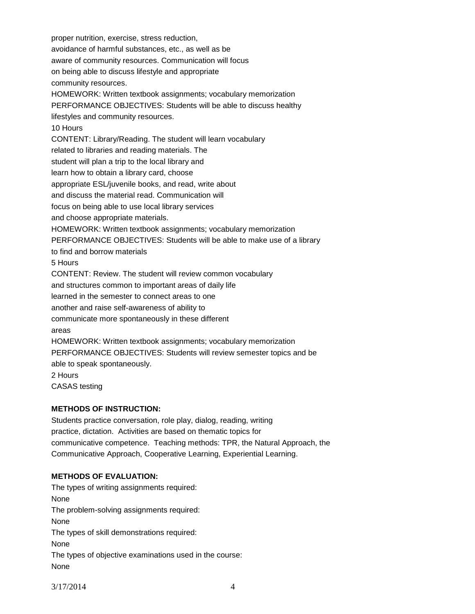proper nutrition, exercise, stress reduction, avoidance of harmful substances, etc., as well as be aware of community resources. Communication will focus on being able to discuss lifestyle and appropriate community resources. HOMEWORK: Written textbook assignments; vocabulary memorization PERFORMANCE OBJECTIVES: Students will be able to discuss healthy lifestyles and community resources. 10 Hours CONTENT: Library/Reading. The student will learn vocabulary related to libraries and reading materials. The student will plan a trip to the local library and learn how to obtain a library card, choose appropriate ESL/juvenile books, and read, write about and discuss the material read. Communication will focus on being able to use local library services and choose appropriate materials. HOMEWORK: Written textbook assignments; vocabulary memorization PERFORMANCE OBJECTIVES: Students will be able to make use of a library to find and borrow materials 5 Hours CONTENT: Review. The student will review common vocabulary and structures common to important areas of daily life learned in the semester to connect areas to one another and raise self-awareness of ability to communicate more spontaneously in these different areas HOMEWORK: Written textbook assignments; vocabulary memorization PERFORMANCE OBJECTIVES: Students will review semester topics and be able to speak spontaneously. 2 Hours CASAS testing

# **METHODS OF INSTRUCTION:**

Students practice conversation, role play, dialog, reading, writing practice, dictation. Activities are based on thematic topics for communicative competence. Teaching methods: TPR, the Natural Approach, the Communicative Approach, Cooperative Learning, Experiential Learning.

# **METHODS OF EVALUATION:**

The types of writing assignments required: None The problem-solving assignments required: None The types of skill demonstrations required: None The types of objective examinations used in the course: None

3/17/2014 4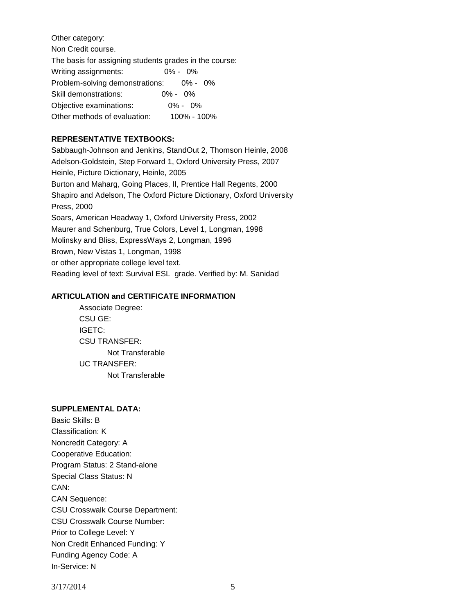Other category: Non Credit course. The basis for assigning students grades in the course: Writing assignments: 0% - 0% Problem-solving demonstrations: 0% - 0% Skill demonstrations: 0% - 0% Objective examinations: 0% - 0% Other methods of evaluation: 100% - 100%

# **REPRESENTATIVE TEXTBOOKS:**

Sabbaugh-Johnson and Jenkins, StandOut 2, Thomson Heinle, 2008 Adelson-Goldstein, Step Forward 1, Oxford University Press, 2007 Heinle, Picture Dictionary, Heinle, 2005 Burton and Maharg, Going Places, II, Prentice Hall Regents, 2000 Shapiro and Adelson, The Oxford Picture Dictionary, Oxford University Press, 2000 Soars, American Headway 1, Oxford University Press, 2002 Maurer and Schenburg, True Colors, Level 1, Longman, 1998 Molinsky and Bliss, ExpressWays 2, Longman, 1996 Brown, New Vistas 1, Longman, 1998 or other appropriate college level text. Reading level of text: Survival ESL grade. Verified by: M. Sanidad

## **ARTICULATION and CERTIFICATE INFORMATION**

Associate Degree: CSU GE: IGETC: CSU TRANSFER: Not Transferable UC TRANSFER: Not Transferable

### **SUPPLEMENTAL DATA:**

Basic Skills: B Classification: K Noncredit Category: A Cooperative Education: Program Status: 2 Stand-alone Special Class Status: N CAN: CAN Sequence: CSU Crosswalk Course Department: CSU Crosswalk Course Number: Prior to College Level: Y Non Credit Enhanced Funding: Y Funding Agency Code: A In-Service: N